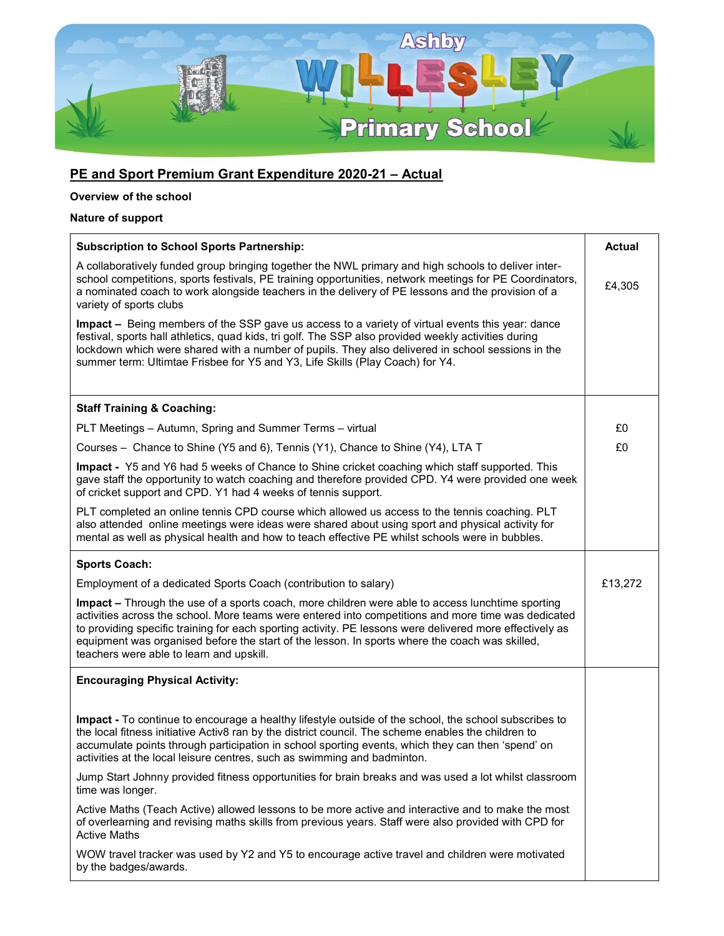

## PE and Sport Premium Grant Expenditure 2020-21 - Actual

## Overview of the school

## Nature of support

| <b>Subscription to School Sports Partnership:</b>                                                                                                                                                                                                                                                                                                                                                                                                                 | <b>Actual</b> |
|-------------------------------------------------------------------------------------------------------------------------------------------------------------------------------------------------------------------------------------------------------------------------------------------------------------------------------------------------------------------------------------------------------------------------------------------------------------------|---------------|
| A collaboratively funded group bringing together the NWL primary and high schools to deliver inter-<br>school competitions, sports festivals, PE training opportunities, network meetings for PE Coordinators,<br>a nominated coach to work alongside teachers in the delivery of PE lessons and the provision of a<br>variety of sports clubs                                                                                                                    | £4,305        |
| Impact – Being members of the SSP gave us access to a variety of virtual events this year: dance<br>festival, sports hall athletics, quad kids, tri golf. The SSP also provided weekly activities during<br>lockdown which were shared with a number of pupils. They also delivered in school sessions in the<br>summer term: Ultimtae Frisbee for Y5 and Y3, Life Skills (Play Coach) for Y4.                                                                    |               |
|                                                                                                                                                                                                                                                                                                                                                                                                                                                                   |               |
| <b>Staff Training &amp; Coaching:</b>                                                                                                                                                                                                                                                                                                                                                                                                                             |               |
| PLT Meetings - Autumn, Spring and Summer Terms - virtual                                                                                                                                                                                                                                                                                                                                                                                                          | £0            |
| Courses - Chance to Shine (Y5 and 6), Tennis (Y1), Chance to Shine (Y4), LTA T                                                                                                                                                                                                                                                                                                                                                                                    | £0            |
| Impact - Y5 and Y6 had 5 weeks of Chance to Shine cricket coaching which staff supported. This<br>gave staff the opportunity to watch coaching and therefore provided CPD. Y4 were provided one week<br>of cricket support and CPD. Y1 had 4 weeks of tennis support.                                                                                                                                                                                             |               |
| PLT completed an online tennis CPD course which allowed us access to the tennis coaching. PLT<br>also attended online meetings were ideas were shared about using sport and physical activity for<br>mental as well as physical health and how to teach effective PE whilst schools were in bubbles.                                                                                                                                                              |               |
| <b>Sports Coach:</b>                                                                                                                                                                                                                                                                                                                                                                                                                                              |               |
| Employment of a dedicated Sports Coach (contribution to salary)                                                                                                                                                                                                                                                                                                                                                                                                   | £13,272       |
| Impact - Through the use of a sports coach, more children were able to access lunchtime sporting<br>activities across the school. More teams were entered into competitions and more time was dedicated<br>to providing specific training for each sporting activity. PE lessons were delivered more effectively as<br>equipment was organised before the start of the lesson. In sports where the coach was skilled,<br>teachers were able to learn and upskill. |               |
| <b>Encouraging Physical Activity:</b>                                                                                                                                                                                                                                                                                                                                                                                                                             |               |
| Impact - To continue to encourage a healthy lifestyle outside of the school, the school subscribes to<br>the local fitness initiative Activ8 ran by the district council. The scheme enables the children to<br>accumulate points through participation in school sporting events, which they can then 'spend' on<br>activities at the local leisure centres, such as swimming and badminton.                                                                     |               |
| Jump Start Johnny provided fitness opportunities for brain breaks and was used a lot whilst classroom<br>time was longer.                                                                                                                                                                                                                                                                                                                                         |               |
| Active Maths (Teach Active) allowed lessons to be more active and interactive and to make the most<br>of overlearning and revising maths skills from previous years. Staff were also provided with CPD for<br><b>Active Maths</b>                                                                                                                                                                                                                                 |               |
| WOW travel tracker was used by Y2 and Y5 to encourage active travel and children were motivated<br>by the badges/awards.                                                                                                                                                                                                                                                                                                                                          |               |